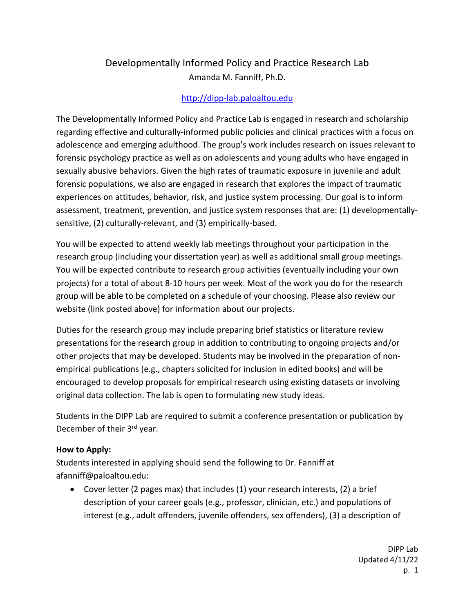## Developmentally Informed Policy and Practice Research Lab Amanda M. Fanniff, Ph.D.

## http://dipp-lab.paloaltou.edu

The Developmentally Informed Policy and Practice Lab is engaged in research and scholarship regarding effective and culturally-informed public policies and clinical practices with a focus on adolescence and emerging adulthood. The group's work includes research on issues relevant to forensic psychology practice as well as on adolescents and young adults who have engaged in sexually abusive behaviors. Given the high rates of traumatic exposure in juvenile and adult forensic populations, we also are engaged in research that explores the impact of traumatic experiences on attitudes, behavior, risk, and justice system processing. Our goal is to inform assessment, treatment, prevention, and justice system responses that are: (1) developmentallysensitive, (2) culturally-relevant, and (3) empirically-based.

You will be expected to attend weekly lab meetings throughout your participation in the research group (including your dissertation year) as well as additional small group meetings. You will be expected contribute to research group activities (eventually including your own projects) for a total of about 8-10 hours per week. Most of the work you do for the research group will be able to be completed on a schedule of your choosing. Please also review our website (link posted above) for information about our projects.

Duties for the research group may include preparing brief statistics or literature review presentations for the research group in addition to contributing to ongoing projects and/or other projects that may be developed. Students may be involved in the preparation of nonempirical publications (e.g., chapters solicited for inclusion in edited books) and will be encouraged to develop proposals for empirical research using existing datasets or involving original data collection. The lab is open to formulating new study ideas.

Students in the DIPP Lab are required to submit a conference presentation or publication by December of their 3<sup>rd</sup> year.

## **How to Apply:**

Students interested in applying should send the following to Dr. Fanniff at afanniff@paloaltou.edu:

• Cover letter (2 pages max) that includes (1) your research interests, (2) a brief description of your career goals (e.g., professor, clinician, etc.) and populations of interest (e.g., adult offenders, juvenile offenders, sex offenders), (3) a description of

> DIPP Lab Updated 4/11/22 p. 1